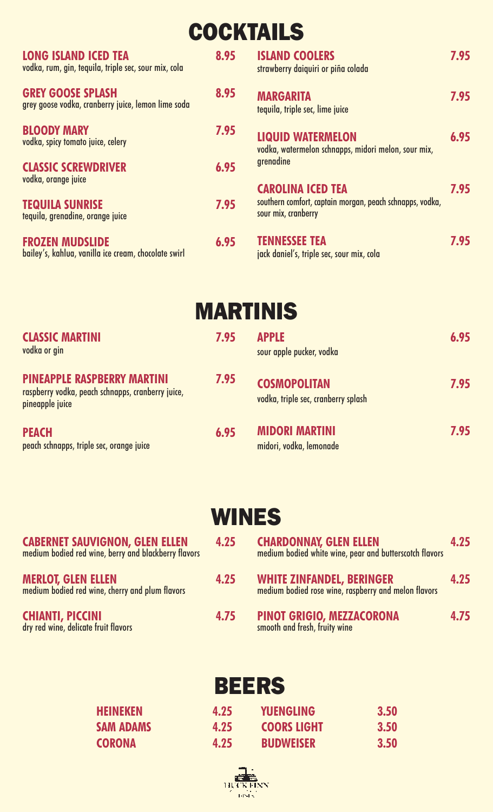# **COCKTAILS**

| <b>LONG ISLAND ICED TEA</b><br>vodka, rum, gin, tequila, triple sec, sour mix, cola | 8.95 | <b>ISLAND COOLERS</b><br>strawberry daiquiri or piña colada                     | 7.95 |
|-------------------------------------------------------------------------------------|------|---------------------------------------------------------------------------------|------|
| <b>GREY GOOSE SPLASH</b><br>grey goose vodka, cranberry juice, lemon lime soda      | 8.95 | <b>MARGARITA</b><br>tequila, triple sec, lime juice                             | 7.95 |
| <b>BLOODY MARY</b><br>vodka, spicy tomato juice, celery                             | 7.95 | <b>LIQUID WATERMELON</b><br>vodka, watermelon schnapps, midori melon, sour mix, | 6.95 |
| <b>CLASSIC SCREWDRIVER</b><br>vodka, orange juice                                   | 6.95 | grenadine<br><b>CAROLINA ICED TEA</b>                                           | 7.95 |
| <b>TEQUILA SUNRISE</b><br>tequila, grenadine, orange juice                          | 7.95 | southern comfort, captain morgan, peach schnapps, vodka,<br>sour mix, cranberry |      |
| <b>FROZEN MUDSLIDE</b><br>bailey's, kahlua, vanilla ice cream, chocolate swirl      | 6.95 | <b>TENNESSEE TEA</b><br>jack daniel's, triple sec, sour mix, cola               | 7.95 |

**MARTINIS**

| <b>CLASSIC MARTINI</b><br>vodka or gin                                                                     | 7.95 | <b>APPLE</b><br>sour apple pucker, vodka                   | 6.95 |
|------------------------------------------------------------------------------------------------------------|------|------------------------------------------------------------|------|
| <b>PINEAPPLE RASPBERRY MARTINI</b><br>raspberry vodka, peach schnapps, cranberry juice,<br>pineapple juice | 7.95 | <b>COSMOPOLITAN</b><br>vodka, triple sec, cranberry splash | 7.95 |
| <b>PEACH</b><br>peach schnapps, triple sec, orange juice                                                   | 6.95 | <b>MIDORI MARTINI</b><br>midori, vodka, lemonade           | 7.95 |

## **WINES**

| <b>CABERNET SAUVIGNON, GLEN ELLEN</b><br>medium bodied red wine, berry and blackberry flavors | 4.25 | <b>CHARDONNAY, GLEN ELLEN</b><br>medium bodied white wine, pear and butterscotch flavors | 4.25 |
|-----------------------------------------------------------------------------------------------|------|------------------------------------------------------------------------------------------|------|
| <b>MERLOT, GLEN ELLEN</b><br>medium bodied red wine, cherry and plum flavors                  | 4.25 | <b>WHITE ZINFANDEL, BERINGER</b><br>medium bodied rose wine, raspberry and melon flavors | 4.25 |
| <b>CHIANTI, PICCINI</b><br>dry red wine, delicate fruit flavors                               | 4.75 | <b>PINOT GRIGIO, MEZZACORONA</b><br>smooth and fresh, fruity wine                        | 4.75 |

## **BEERS**

| 4.25 | <b>YUENGLING</b>   | 3.50 |
|------|--------------------|------|
| 4.25 | <b>COORS LIGHT</b> | 3.50 |
| 4.25 | <b>BUDWEISER</b>   | 3.50 |

**HEINEKEN 4.25 SAM ADAMS 4.25 CORONA 4.25**

| 岩岩       |  |  |  |
|----------|--|--|--|
| HUCKFINN |  |  |  |
|          |  |  |  |
|          |  |  |  |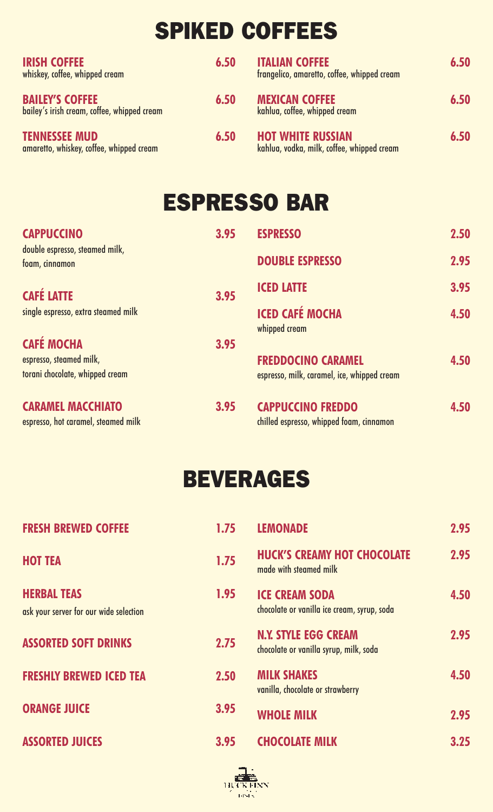# **SPIKED COFFEES**

| <b>IRISH COFFEE</b><br>whiskey, coffee, whipped cream                 | 6.50 | <b>ITALIAN COFFEE</b><br>frangelico, amaretto, coffee, whipped cream   | 6.50 |
|-----------------------------------------------------------------------|------|------------------------------------------------------------------------|------|
| <b>BAILEY'S COFFEE</b><br>bailey's irish cream, coffee, whipped cream | 6.50 | <b>MEXICAN COFFEE</b><br>kahlua, coffee, whipped cream                 | 6.50 |
| <b>TENNESSEE MUD</b><br>amaretto, whiskey, coffee, whipped cream      | 6.50 | <b>HOT WHITE RUSSIAN</b><br>kahlua, vodka, milk, coffee, whipped cream | 6.50 |

## **ESPRESSO BAR**

| <b>CAPPUCCINO</b>                                               | 3.95 | <b>ESPRESSO</b>                                                      | 2.50 |
|-----------------------------------------------------------------|------|----------------------------------------------------------------------|------|
| double espresso, steamed milk,<br>foam, cinnamon                |      | <b>DOUBLE ESPRESSO</b>                                               | 2.95 |
| <b>CAFÉ LATTE</b>                                               | 3.95 | <b>ICED LATTE</b>                                                    | 3.95 |
| single espresso, extra steamed milk                             |      | <b>ICED CAFÉ MOCHA</b><br>whipped cream                              | 4.50 |
| <b>CAFÉ MOCHA</b>                                               | 3.95 |                                                                      |      |
| espresso, steamed milk,                                         |      | <b>FREDDOCINO CARAMEL</b>                                            | 4.50 |
| torani chocolate, whipped cream                                 |      | espresso, milk, caramel, ice, whipped cream                          |      |
| <b>CARAMEL MACCHIATO</b><br>espresso, hot caramel, steamed milk | 3.95 | <b>CAPPUCCINO FREDDO</b><br>chilled espresso, whipped foam, cinnamon | 4.50 |

## **BEVERAGES**

| <b>FRESH BREWED COFFEE</b>                                   | 1.75 | <b>LEMONADE</b>                                                       | 2.95 |
|--------------------------------------------------------------|------|-----------------------------------------------------------------------|------|
| <b>HOT TEA</b>                                               | 1.75 | <b>HUCK'S CREAMY HOT CHOCOLATE</b><br>made with steamed milk          | 2.95 |
| <b>HERBAL TEAS</b><br>ask your server for our wide selection | 1.95 | <b>ICE CREAM SODA</b><br>chocolate or vanilla ice cream, syrup, soda  | 4.50 |
| <b>ASSORTED SOFT DRINKS</b>                                  | 2.75 | <b>N.Y. STYLE EGG CREAM</b><br>chocolate or vanilla syrup, milk, soda | 2.95 |
| <b>FRESHLY BREWED ICED TEA</b>                               | 2.50 | <b>MILK SHAKES</b><br>vanilla, chocolate or strawberry                | 4.50 |
| <b>ORANGE JUICE</b>                                          | 3.95 | <b>WHOLE MILK</b>                                                     | 2.95 |
| <b>ASSORTED JUICES</b>                                       | 3.95 | <b>CHOCOLATE MILK</b>                                                 | 3.25 |

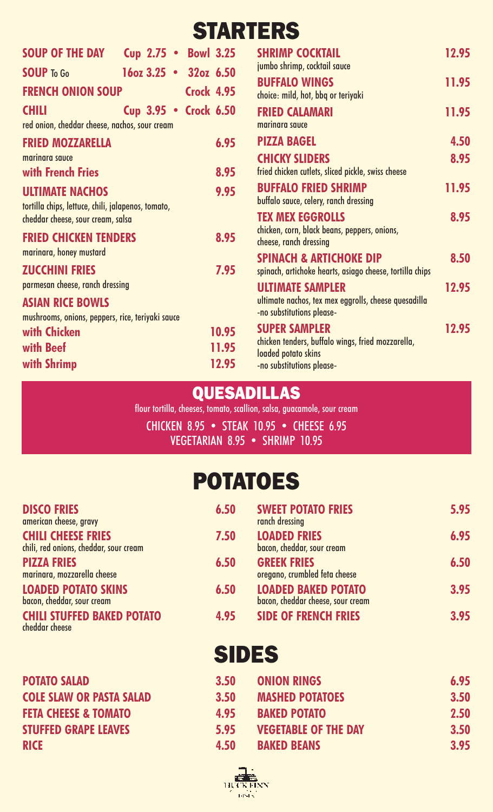## **STARTERS**

| <b>SOUP OF THE DAY</b>                                                       | <b>Cup 2.75 • Bowl 3.25</b> |                   | <b>SHRIMP COCKTAIL</b>                                                                         | 12.95 |
|------------------------------------------------------------------------------|-----------------------------|-------------------|------------------------------------------------------------------------------------------------|-------|
| <b>SOUP To Go</b>                                                            | $16oz 3.25 - 32oz 6.50$     |                   | jumbo shrimp, cocktail sauce                                                                   |       |
| <b>FRENCH ONION SOUP</b>                                                     |                             | <b>Crock 4.95</b> | <b>BUFFALO WINGS</b><br>choice: mild, hot, bbq or teriyaki                                     | 11.95 |
| <b>CHILI</b><br>red onion, cheddar cheese, nachos, sour cream                | Cup 3.95 • Crock 6.50       |                   | <b>FRIED CALAMARI</b><br>marinara sauce                                                        | 11.95 |
| <b>FRIED MOZZARELLA</b>                                                      |                             | 6.95              | <b>PIZZA BAGEL</b>                                                                             | 4.50  |
| marinara sauce<br>with French Fries                                          |                             | 8.95              | <b>CHICKY SLIDERS</b><br>fried chicken cutlets, sliced pickle, swiss cheese                    | 8.95  |
| <b>ULTIMATE NACHOS</b><br>tortilla chips, lettuce, chili, jalapenos, tomato, |                             | 9.95              | <b>BUFFALO FRIED SHRIMP</b><br>buffalo sauce, celery, ranch dressing                           | 11.95 |
| cheddar cheese, sour cream, salsa                                            |                             |                   | <b>TEX MEX EGGROLLS</b>                                                                        | 8.95  |
| <b>FRIED CHICKEN TENDERS</b>                                                 |                             | 8.95              | chicken, corn, black beans, peppers, onions,<br>cheese, ranch dressing                         |       |
| marinara, honey mustard<br><b>ZUCCHINI FRIES</b>                             |                             | 7.95              | <b>SPINACH &amp; ARTICHOKE DIP</b><br>spinach, artichoke hearts, asiago cheese, tortilla chips | 8.50  |
| parmesan cheese, ranch dressing                                              |                             |                   | <b>ULTIMATE SAMPLER</b>                                                                        | 12.95 |
| <b>ASIAN RICE BOWLS</b><br>mushrooms, onions, peppers, rice, teriyaki sauce  |                             |                   | ultimate nachos, tex mex eggrolls, cheese quesadilla<br>-no substitutions please-              |       |
| with Chicken                                                                 |                             | 10.95             | <b>SUPER SAMPLER</b>                                                                           | 12.95 |
| with Beef                                                                    |                             | 11.95             | chicken tenders, buffalo wings, fried mozzarella,                                              |       |
| with Shrimp                                                                  |                             | 12.95             | loaded potato skins<br>-no substitutions please-                                               |       |

### **QUESADILLAS**

flour tortilla, cheeses, tomato, scallion, salsa, guacamole, sour cream

CHICKEN 8.95 • STEAK 10.95 • CHEESE 6.95 VEGETARIAN 8.95 • SHRIMP 10.95

## **POTATOES**

| <b>DISCO FRIES</b><br>american cheese, gravy                        | 6.50 | <b>SWEET POTATO FRIES</b><br>ranch dressing                     | 5.95 |
|---------------------------------------------------------------------|------|-----------------------------------------------------------------|------|
| <b>CHILI CHEESE FRIES</b><br>chili, red onions, cheddar, sour cream | 7.50 | <b>LOADED FRIES</b><br>bacon, cheddar, sour cream               | 6.95 |
| <b>PIZZA FRIES</b><br>marinara, mozzarella cheese                   | 6.50 | <b>GREEK FRIES</b><br>oregano, crumbled feta cheese             | 6.50 |
| <b>LOADED POTATO SKINS</b><br>bacon, cheddar, sour cream            | 6.50 | <b>LOADED BAKED POTATO</b><br>bacon, cheddar cheese, sour cream | 3.95 |
| <b>CHILI STUFFED BAKED POTATO</b><br>cheddar cheese                 | 4.95 | <b>SIDE OF FRENCH FRIES</b>                                     | 3.95 |
|                                                                     |      | CINER                                                           |      |

**POTATO SALAD 3.50 COLE SLAW OR PASTA SALAD 3.50 FETA CHEESE & TOMATO 4.95 STUFFED GRAPE LEAVES 5.95 RICE 4.50**

## **SIDES**

| 3.50 | <b>ONION RINGS</b>          | 6.95 |
|------|-----------------------------|------|
| 3.50 | <b>MASHED POTATOES</b>      | 3.50 |
| 4.95 | <b>BAKED POTATO</b>         | 2.50 |
| 5.95 | <b>VEGETABLE OF THE DAY</b> | 3.50 |
| 4.50 | <b>BAKED BEANS</b>          | 3.95 |

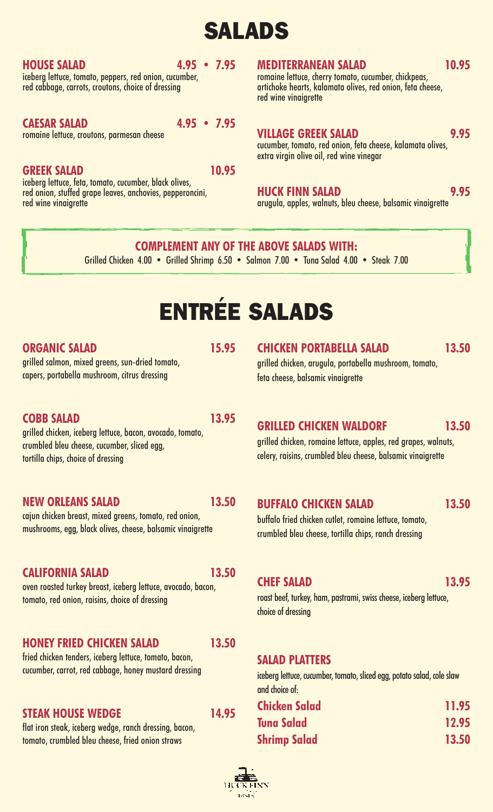## **SALADS**

### **HOUSE SALAD 4.95 • 7.95**

iceberg lettuce, tomato, peppers, red onion, cucumber, red cabbage, carrots, croutons, choice of dressing

### **CAESAR SALAD 4.95 • 7.95**

romaine lettuce, croutons, parmesan cheese

**GREEK SALAD 10.95** red onion, stuffed grape leaves, anchovies, pepperoncini, red wine vinaigrette

**MEDITERRANEAN SALAD 10.95 10.95 10.95 10.95 10.95 10.95 10.95 10.95 10.95 10.95 10.95 10.95** artichoke hearts, kalamata olives, red onion, feta cheese, red wine vinaigrette

### **VILLAGE GREEK SALAD 9.95**

cucumber, tomato, red onion, feta cheese, kalamata olives, extra virgin olive oil, red wine vinegar

### **HUCK FINN SALAD 9.95**

arugula, apples, walnuts, bleu cheese, balsamic vinaigrette

### **COMPLEMENT ANY OF THE ABOVE SALADS WITH:**

Grilled Chicken 4.00 • Grilled Shrimp 6.50 • Salmon 7.00 • Tuna Salad 4.00 • Steak 7.00

# **ENTRÉE SALADS**

### **ORGANIC SALAD 15.95**

grilled salmon, mixed greens, sun-dried tomato, capers, portabella mushroom, citrus dressing

### **COBB SALAD 13.95**

grilled chicken, iceberg lettuce, bacon, avocado, tomato, crumbled bleu cheese, cucumber, sliced egg, tortilla chips, choice of dressing

### **NEW ORLEANS SALAD 13.50**

cajun chicken breast, mixed greens, tomato, red onion, mushrooms, egg, black olives, cheese, balsamic vinaigrette

### **CALIFORNIA SALAD 13.50**

oven roasted turkey breast, iceberg lettuce, avocado, bacon, tomato, red onion, raisins, choice of dressing

### **HONEY FRIED CHICKEN SALAD 13.50**

fried chicken tenders, iceberg lettuce, tomato, bacon, cucumber, carrot, red cabbage, honey mustard dressing

### **STEAK HOUSE WEDGE 14.95**

flat iron steak, iceberg wedge, ranch dressing, bacon, tomato, crumbled bleu cheese, fried onion straws

### **CHICKEN PORTABELLA SALAD 13.50**

grilled chicken, arugula, portabella mushroom, tomato, feta cheese, balsamic vinaigrette

### **GRILLED CHICKEN WALDORF 13.50**

grilled chicken, romaine lettuce, apples, red grapes, walnuts, celery, raisins, crumbled bleu cheese, balsamic vinaigrette

### **BUFFALO CHICKEN SALAD 13.50**

buffalo fried chicken cutlet, romaine lettuce, tomato, crumbled bleu cheese, tortilla chips, ranch dressing

### **CHEF SALAD 13.95**

roast beef, turkey, ham, pastrami, swiss cheese, iceberg lettuce, choice of dressing

### **SALAD PLATTERS**

iceberg lettuce, cucumber, tomato, sliced egg, potato salad, cole slaw and choice of:

| <b>Chicken Salad</b> | 11.95 |
|----------------------|-------|
| <b>Tuna Salad</b>    | 12.95 |
| <b>Shrimp Salad</b>  | 13.50 |

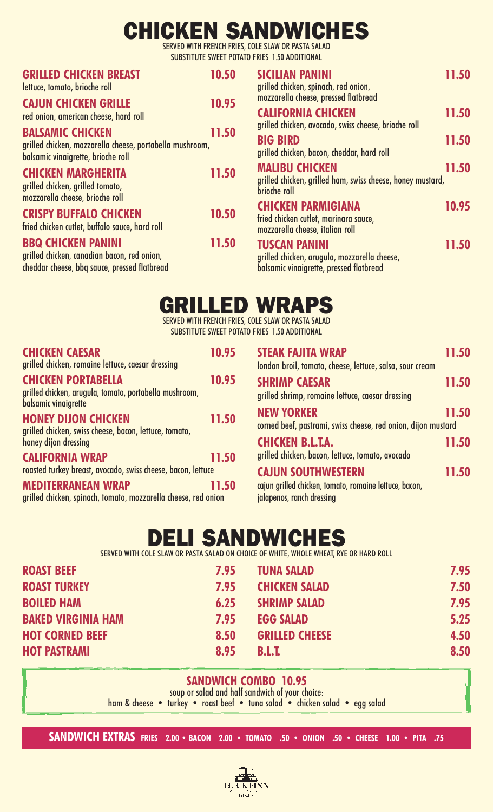## **CHICKEN SANDWICHES**

SERVED WITH FRENCH FRIES, COLE SLAW OR PASTA SALAD SUBSTITUTE SWEET POTATO FRIES 1.50 ADDITIONAL

| <b>GRILLED CHICKEN BREAST</b><br>lettuce, tomato, brioche roll                                                            | 10.50 | <b>SICI</b><br>grille          |
|---------------------------------------------------------------------------------------------------------------------------|-------|--------------------------------|
| <b>CAJUN CHICKEN GRILLE</b><br>red onion, american cheese, hard roll                                                      | 10.95 | mozz<br><b>CALI</b>            |
| <b>BALSAMIC CHICKEN</b><br>grilled chicken, mozzarella cheese, portabella mushroom,<br>balsamic vinaigrette, brioche roll | 11.50 | grille<br><b>BIG</b><br>grille |
| <b>CHICKEN MARGHERITA</b><br>grilled chicken, grilled tomato,<br>mozzarella cheese, brioche roll                          | 11.50 | <b>MAL</b><br>grille<br>brioch |
| <b>CRISPY BUFFALO CHICKEN</b><br>fried chicken cutlet, buffalo sauce, hard roll                                           | 10.50 | <b>CHI</b><br>fried<br>mozz    |
| <b>BBQ CHICKEN PANINI</b><br>grilled chicken, canadian bacon, red onion,<br>cheddar cheese, bbq sauce, pressed flatbread  | 11.50 | <b>TUS</b><br>grille<br>balsa  |

| <b>SICILIAN PANINI</b><br>grilled chicken, spinach, red onion,<br>mozzarella cheese, pressed flatbread          | 11.50 |
|-----------------------------------------------------------------------------------------------------------------|-------|
| <b>CALIFORNIA CHICKEN</b><br>grilled chicken, avocado, swiss cheese, brioche roll                               | 11.50 |
| <b>BIG BIRD</b><br>grilled chicken, bacon, cheddar, hard roll                                                   | 11.50 |
| <b>MALIBU CHICKEN</b><br>grilled chicken, grilled ham, swiss cheese, honey mustard,<br>brioche roll             | 11.50 |
| <b>CHICKEN PARMIGIANA</b><br>fried chicken cutlet, marinara sauce,<br>mozzarella cheese, italian roll           | 10.95 |
| <b>TUSCAN PANINI</b><br>grilled chicken, arugula, mozzarella cheese,<br>balsamic vinaigrette, pressed flatbread | 11.50 |

## **GRILLED WRAPS**

SERVED WITH FRENCH FRIES, COLE SLAW OR PASTA SALAD SUBSTITUTE SWEET POTATO FRIES 1.50 ADDITIONAL

| <b>CHICKEN CAESAR</b><br>grilled chicken, romaine lettuce, caesar dressing                                   | 10.95 |
|--------------------------------------------------------------------------------------------------------------|-------|
| <b>CHICKEN PORTABELLA</b><br>grilled chicken, arugula, tomato, portabella mushroom,<br>balsamic vinaigrette  | 10.95 |
| <b>HONEY DIJON CHICKEN</b><br>grilled chicken, swiss cheese, bacon, lettuce, tomato,<br>honey dijon dressing | 11.50 |
| <b>CALIFORNIA WRAP</b><br>roasted turkey breast, avocado, swiss cheese, bacon, lettuce                       | 11.50 |
| <b>MEDITERRANEAN WRAP</b><br>grilled chicken, spinach, tomato, mozzarella cheese, red onion                  | 11.50 |

| <b>STEAK FAJITA WRAP</b><br>london broil, tomato, cheese, lettuce, salsa, sour cream                             | 11.50 |
|------------------------------------------------------------------------------------------------------------------|-------|
| <b>SHRIMP CAESAR</b><br>grilled shrimp, romaine lettuce, caesar dressing                                         | 11.50 |
| <b>NEW YORKER</b><br>corned beef, pastrami, swiss cheese, red onion, dijon mustard                               | 11.50 |
| <b>CHICKEN B.L.T.A.</b><br>grilled chicken, bacon, lettuce, tomato, avocado                                      | 11.50 |
| <b>CAJUN SOUTHWESTERN</b><br>cajun grilled chicken, tomato, romaine lettuce, bacon,<br>jalapenos, ranch dressing | 11.50 |

## **DELI SANDWICHES**

SERVED WITH COLE SLAW OR PASTA SALAD ON CHOICE OF WHITE, WHOLE WHEAT, RYE OR HARD ROLL

| <b>ROAST BEEF</b>         | 7.95 | <b>TUNA SALAD</b>     | 7.95 |
|---------------------------|------|-----------------------|------|
| <b>ROAST TURKEY</b>       | 7.95 | <b>CHICKEN SALAD</b>  | 7.50 |
| <b>BOILED HAM</b>         | 6.25 | <b>SHRIMP SALAD</b>   | 7.95 |
| <b>BAKED VIRGINIA HAM</b> | 7.95 | <b>EGG SALAD</b>      | 5.25 |
| <b>HOT CORNED BEEF</b>    | 8.50 | <b>GRILLED CHEESE</b> | 4.50 |
| <b>HOT PASTRAMI</b>       | 8.95 | <b>B.L.T.</b>         | 8.50 |

### **SANDWICH COMBO 10.95**

soup or salad and half sandwich of your choice: ham & cheese • turkey • roast beef • tuna salad • chicken salad • egg salad

**SANDWICH EXTRAS FRIES 2.00 • BACON 2.00 • TOMATO .50 • ONION .50 • CHEESE 1.00 • PITA .75**

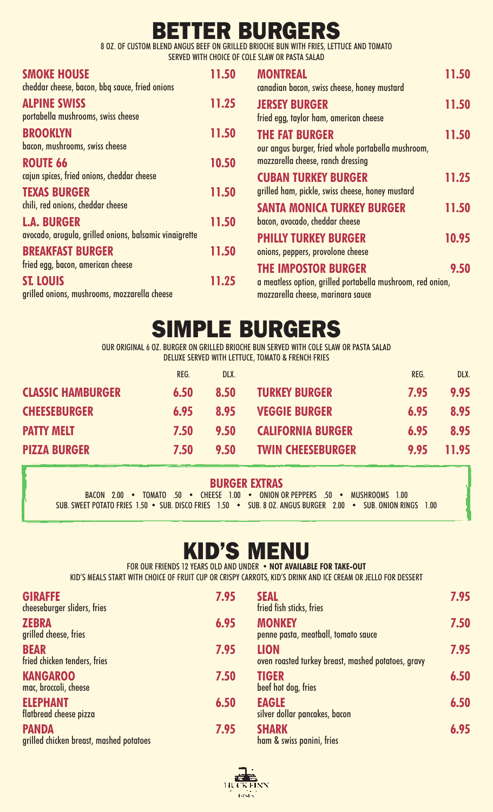## **BETTER BURGERS**

8 OZ. OF CUSTOM BLEND ANGUS BEEF ON GRILLED BRIOCHE BUN WITH FRIES, LETTUCE AND TOMATO SERVED WITH CHOICE OF COLE SLAW OR PASTA SALAD

| <b>SMOKE HOUSE</b><br>cheddar cheese, bacon, bbq sauce, fried onions                                  | 11.50 | <b>MONTREAL</b><br>canadian bacon, swiss cheese, honey mustard                                                                | 11.50 |
|-------------------------------------------------------------------------------------------------------|-------|-------------------------------------------------------------------------------------------------------------------------------|-------|
| <b>ALPINE SWISS</b><br>portabella mushrooms, swiss cheese                                             | 11.25 | <b>JERSEY BURGER</b><br>fried egg, taylor ham, american cheese                                                                | 11.50 |
| <b>BROOKLYN</b><br>bacon, mushrooms, swiss cheese                                                     | 11.50 | <b>THE FAT BURGER</b><br>our angus burger, fried whole portabella mushroom,                                                   | 11.50 |
| <b>ROUTE 66</b><br>cajun spices, fried onions, cheddar cheese                                         | 10.50 | mozzarella cheese, ranch dressing                                                                                             |       |
| <b>TEXAS BURGER</b>                                                                                   | 11.50 | <b>CUBAN TURKEY BURGER</b><br>grilled ham, pickle, swiss cheese, honey mustard                                                | 11.25 |
| chili, red onions, cheddar cheese                                                                     |       | <b>SANTA MONICA TURKEY BURGER</b>                                                                                             | 11.50 |
| <b>L.A. BURGER</b><br>avocado, arugula, grilled onions, balsamic vinaigrette                          | 11.50 | bacon, avocado, cheddar cheese<br><b>PHILLY TURKEY BURGER</b>                                                                 | 10.95 |
| <b>BREAKFAST BURGER</b>                                                                               | 11.50 | onions, peppers, provolone cheese                                                                                             |       |
| fried egg, bacon, american cheese<br><b>ST. LOUIS</b><br>grilled onions, mushrooms, mozzarella cheese | 11.25 | <b>THE IMPOSTOR BURGER</b><br>a meatless option, grilled portabella mushroom, red onion,<br>mozzarella cheese, marinara sauce | 9.50  |

## **SIMPLE BURGERS**

OUR ORIGINAL 6 OZ. BURGER ON GRILLED BRIOCHE BUN SERVED WITH COLE SLAW OR PASTA SALAD DELUXE SERVED WITH LETTUCE, TOMATO & FRENCH FRIES

|                          | REG. | DLX. |                          | REG. | DLX.  |
|--------------------------|------|------|--------------------------|------|-------|
| <b>CLASSIC HAMBURGER</b> | 6.50 | 8.50 | <b>TURKEY BURGER</b>     | 7.95 | 9.95  |
| <b>CHEESEBURGER</b>      | 6.95 | 8.95 | <b>VEGGIE BURGER</b>     | 6.95 | 8.95  |
| <b>PATTY MELT</b>        | 7.50 | 9.50 | <b>CALIFORNIA BURGER</b> | 6.95 | 8.95  |
| <b>PIZZA BURGER</b>      | 7.50 | 9.50 | <b>TWIN CHEESEBURGER</b> | 9.95 | 11.95 |

### **BURGER EXTRAS**

BACON 2.00 • TOMATO .50 • CHEESE 1.00 • ONION OR PEPPERS .50 • MUSHROOMS 1.00 SUB. SWEET POTATO FRIES 1.50 • SUB. DISCO FRIES 1.50 • SUB. 8 OZ. ANGUS BURGER 2.00 • SUB. ONION RINGS 1.00

## **KID'S MENU**

FOR OUR FRIENDS 12 YEARS OLD AND UNDER • **NOT AVAILABLE FOR TAKE-OUT** KID'S MEALS START WITH CHOICE OF FRUIT CUP OR CRISPY CARROTS, KID'S DRINK AND ICE CREAM OR JELLO FOR DESSERT

| <b>GIRAFFE</b><br>cheeseburger sliders, fries           | 7.95 | <b>SEAL</b><br>fried fish sticks, fries                           | 7.95 |
|---------------------------------------------------------|------|-------------------------------------------------------------------|------|
| <b>ZEBRA</b><br>grilled cheese, fries                   | 6.95 | <b>MONKEY</b><br>penne pasta, meatball, tomato sauce              | 7.50 |
| <b>BEAR</b><br>fried chicken tenders, fries             | 7.95 | <b>LION</b><br>oven roasted turkey breast, mashed potatoes, gravy | 7.95 |
| <b>KANGAROO</b><br>mac, broccoli, cheese                | 7.50 | <b>TIGER</b><br>beef hot dog, fries                               | 6.50 |
| <b>ELEPHANT</b><br>flatbread cheese pizza               | 6.50 | <b>EAGLE</b><br>silver dollar pancakes, bacon                     | 6.50 |
| <b>PANDA</b><br>grilled chicken breast, mashed potatoes | 7.95 | <b>SHARK</b><br>ham & swiss panini, fries                         | 6.95 |

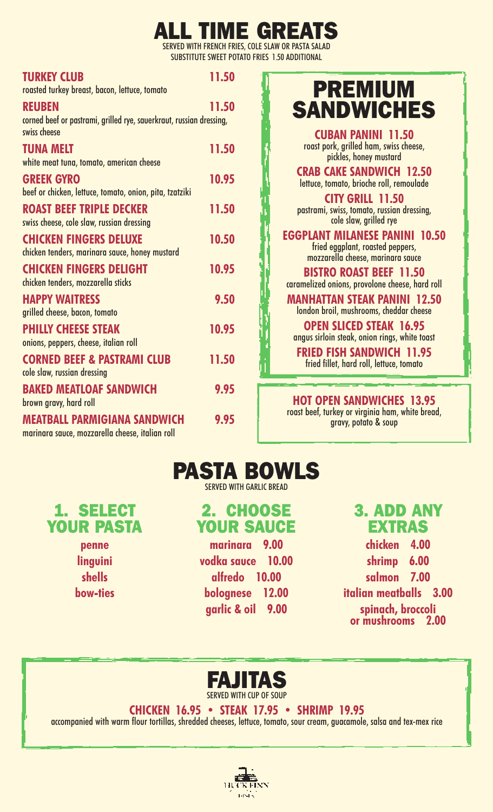### **ALL TIME GRE** FRIES, COLE SLAW OR PASTA SALAD

POTATO FRIES 1.50 ADDITIONAL

|                                                                                                      | <b>SERVED WITH FRENCH FR</b><br><b>SUBSTITUTE SWEET PO</b> |
|------------------------------------------------------------------------------------------------------|------------------------------------------------------------|
| <b>TURKEY CLUB</b><br>roasted turkey breast, bacon, lettuce, tomato                                  | 11.50                                                      |
| <b>REUBEN</b><br>corned beef or pastrami, grilled rye, sauerkraut, russian dressing,<br>swiss cheese | 11.50                                                      |
| <b>TUNA MELT</b><br>white meat tuna, tomato, american cheese                                         | 11.50                                                      |
| <b>GREEK GYRO</b><br>beef or chicken, lettuce, tomato, onion, pita, tzatziki                         | 10.95                                                      |
| <b>ROAST BEEF TRIPLE DECKER</b><br>swiss cheese, cole slaw, russian dressing                         | 11.50                                                      |
| <b>CHICKEN FINGERS DELUXE</b><br>chicken tenders, marinara sauce, honey mustard                      | 10.50                                                      |
| <b>CHICKEN FINGERS DELIGHT</b><br>chicken tenders, mozzarella sticks                                 | 10.95                                                      |
| <b>HAPPY WAITRESS</b><br>grilled cheese, bacon, tomato                                               | 9.50                                                       |
| <b>PHILLY CHEESE STEAK</b><br>onions, peppers, cheese, italian roll                                  | 10.95                                                      |
| <b>CORNED BEEF &amp; PASTRAMI CLUB</b><br>cole slaw, russian dressing                                | 11.50                                                      |
| <b>BAKED MEATLOAF SANDWICH</b><br>brown gravy, hard roll                                             | 9.95                                                       |
| <b>MEATBALL PARMIGIANA SANDWICH</b><br>marinara sauce, mozzarella cheese, italian roll               | 9.95                                                       |

## **PREMIUM SANDWICHES**

**CUBAN PANINI 11.50** roast pork, grilled ham, swiss cheese,<br>pickles, honey mustard

**CRAB CAKE SANDWICH 12.50** lettuce, tomato, brioche roll, remoulade

**CITY GRILL 11.50** pastrami, swiss, tomato, russian dressing, cole slaw, grilled rye

**EGGPLANT MILANESE PANINI 10.50** fried eggplant, roasted peppers, mozzarella cheese, marinara sauce

**BISTRO ROAST BEEF 11.50** caramelized onions, provolone cheese, hard roll

**MANHATTAN STEAK PANINI 12.50** london broil, mushrooms, cheddar cheese

**OPEN SLICED STEAK 16.95** angus sirloin steak, onion rings, white toast

**FRIED FISH SANDWICH 11.95** fried fillet, hard roll, lettuce, tomato

**HOT OPEN SANDWICHES 13.95**

roast beef, turkey or virginia ham, white bread, gravy, potato & soup



SERVED WITH GARLIC BREAD

### **2. CHOOSE YOUR SAUCE**

**marinara 9.00 vodka sauce 10.00 alfredo 10.00 bolognese 12.00 garlic & oil 9.00**

### **3. ADD ANY EXTRAS**

**chicken 4.00 shrimp 6.00 salmon 7.00 italian meatballs 3.00 spinach, broccoli or mushrooms 2.00**



### **CHICKEN 16.95 • STEAK 17.95 • SHRIMP 19.95**

accompanied with warm flour tortillas, shredded cheeses, lettuce, tomato, sour cream, guacamole, salsa and tex-mex rice



**YOUR PASTA penne linguini shells**

**bow-ties**

**1. SELECT**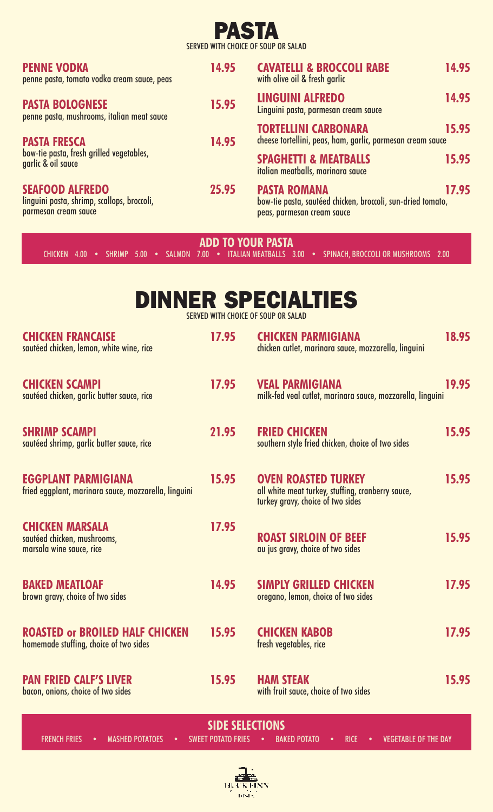### **PASTA** SERVED WITH CHOICE OF SOUP OR SALAD

| <b>PENNE VODKA</b><br>penne pasta, tomato vodka cream sauce, peas                             | 14.95 | <b>CAVATELLI &amp; BROCCOLI RABE</b><br>with olive oil & fresh garlic                                            | 14.95 |
|-----------------------------------------------------------------------------------------------|-------|------------------------------------------------------------------------------------------------------------------|-------|
| <b>PASTA BOLOGNESE</b><br>penne pasta, mushrooms, italian meat sauce                          | 15.95 | <b>LINGUINI ALFREDO</b><br>Linguini pasta, parmesan cream sauce                                                  | 14.95 |
| <b>PASTA FRESCA</b>                                                                           | 14.95 | <b>TORTELLINI CARBONARA</b><br>cheese tortellini, peas, ham, garlic, parmesan cream sauce                        | 15.95 |
| bow-tie pasta, fresh grilled vegetables,<br>garlic & oil sauce                                |       | <b>SPAGHETTI &amp; MEATBALLS</b><br>italian meatballs, marinara sauce                                            | 15.95 |
| <b>SEAFOOD ALFREDO</b><br>linguini pasta, shrimp, scallops, broccoli,<br>parmesan cream sauce | 25.95 | <b>PASTA ROMANA</b><br>bow-tie pasta, sautéed chicken, broccoli, sun-dried tomato,<br>peas, parmesan cream sauce | 17.95 |

**ADD TO YOUR PASTA**

CHICKEN 4.00 • SHRIMP 5.00 • SALMON 7.00 • ITALIAN MEATBALLS 3.00 • SPINACH, BROCCOLI OR MUSHROOMS 2.00

|  |  |                                     |  |  | <b>DINNER SPECIALTIES</b> |  |
|--|--|-------------------------------------|--|--|---------------------------|--|
|  |  | CENTER WITH CHAICE OF CAUS ON CALLS |  |  |                           |  |

SERVED WITH CHOICE OF SOUP OR SALAD

| <b>CHICKEN FRANCAISE</b><br>sautéed chicken, lemon, white wine, rice               | 17.95 | <b>CHICKEN PARMIGIANA</b><br>chicken cutlet, marinara sauce, mozzarella, linguini                                    | 18.95 |
|------------------------------------------------------------------------------------|-------|----------------------------------------------------------------------------------------------------------------------|-------|
| <b>CHICKEN SCAMPI</b><br>sautéed chicken, garlic butter sauce, rice                | 17.95 | <b>VEAL PARMIGIANA</b><br>milk-fed veal cutlet, marinara sauce, mozzarella, linguini                                 | 19.95 |
| <b>SHRIMP SCAMPI</b><br>sautéed shrimp, garlic butter sauce, rice                  | 21.95 | <b>FRIED CHICKEN</b><br>southern style fried chicken, choice of two sides                                            | 15.95 |
| <b>EGGPLANT PARMIGIANA</b><br>fried eggplant, marinara sauce, mozzarella, linguini | 15.95 | <b>OVEN ROASTED TURKEY</b><br>all white meat turkey, stuffing, cranberry sauce,<br>turkey gravy, choice of two sides | 15.95 |
| <b>CHICKEN MARSALA</b><br>sautéed chicken, mushrooms,<br>marsala wine sauce, rice  | 17.95 | <b>ROAST SIRLOIN OF BEEF</b><br>au jus gravy, choice of two sides                                                    | 15.95 |
| <b>BAKED MEATLOAF</b><br>brown gravy, choice of two sides                          | 14.95 | <b>SIMPLY GRILLED CHICKEN</b><br>oregano, lemon, choice of two sides                                                 | 17.95 |
| <b>ROASTED or BROILED HALF CHICKEN</b><br>homemade stuffing, choice of two sides   | 15.95 | <b>CHICKEN KABOB</b><br>fresh vegetables, rice                                                                       | 17.95 |
| <b>PAN FRIED CALF'S LIVER</b><br>bacon, onions, choice of two sides                | 15.95 | <b>HAM STEAK</b><br>with fruit sauce, choice of two sides                                                            | 15.95 |

**SIDE SELECTIONS** FRENCH FRIES • MASHED POTATOES • SWEET POTATO FRIES • BAKED POTATO • RICE • VEGETABLE OF THE DAY

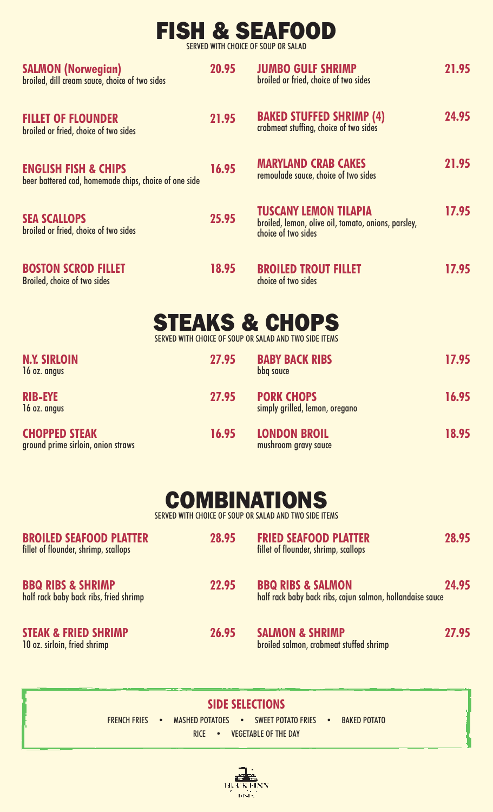## **FISH & SEAFOOD**

SERVED WITH CHOICE OF SOUP OR SALAD

| <b>SALMON (Norwegian)</b><br>broiled, dill cream sauce, choice of two sides              | 20.95 | <b>JUMBO GULF SHRIMP</b><br>broiled or fried, choice of two sides                                          | 21.95 |
|------------------------------------------------------------------------------------------|-------|------------------------------------------------------------------------------------------------------------|-------|
| <b>FILLET OF FLOUNDER</b><br>broiled or fried, choice of two sides                       | 21.95 | <b>BAKED STUFFED SHRIMP (4)</b><br>crabmeat stuffing, choice of two sides                                  | 24.95 |
| <b>ENGLISH FISH &amp; CHIPS</b><br>beer battered cod, homemade chips, choice of one side | 16.95 | <b>MARYLAND CRAB CAKES</b><br>remoulade sauce, choice of two sides                                         | 21.95 |
| <b>SEA SCALLOPS</b><br>broiled or fried, choice of two sides                             | 25.95 | <b>TUSCANY LEMON TILAPIA</b><br>broiled, lemon, olive oil, tomato, onions, parsley,<br>choice of two sides | 17.95 |
| <b>BOSTON SCROD FILLET</b><br>Broiled, choice of two sides                               | 18.95 | <b>BROILED TROUT FILLET</b><br>choice of two sides                                                         | 17.95 |

| <b>STEAKS &amp; CHOPS</b>                              |  |  |
|--------------------------------------------------------|--|--|
| CERVER WITH CHAICE OF COUR OR CALAR AND TWO CIDE ITEMS |  |  |

SERVED WITH CHOICE OF SOUP OR SALAD AND TWO SIDE ITEMS

| <b>N.Y. SIRLOIN</b><br>16 oz. angus                        | 27.95 | <b>BABY BACK RIBS</b><br>bbq sauce                  | 17.95 |
|------------------------------------------------------------|-------|-----------------------------------------------------|-------|
| <b>RIB-EYE</b><br>16 oz. angus                             | 27.95 | <b>PORK CHOPS</b><br>simply grilled, lemon, oregano | 16.95 |
| <b>CHOPPED STEAK</b><br>ground prime sirloin, onion straws | 16.95 | <b>LONDON BROIL</b><br>mushroom gravy sauce         | 18.95 |



SERVED WITH CHOICE OF SOUP OR SALAD AND TWO SIDE ITEMS

| <b>BROILED SEAFOOD PLATTER</b><br>fillet of flounder, shrimp, scallops | 28.95 | <b>FRIED SEAFOOD PLATTER</b><br>fillet of flounder, shrimp, scallops                      | 28.95 |
|------------------------------------------------------------------------|-------|-------------------------------------------------------------------------------------------|-------|
| <b>BBQ RIBS &amp; SHRIMP</b><br>half rack baby back ribs, fried shrimp | 22.95 | <b>BBQ RIBS &amp; SALMON</b><br>half rack baby back ribs, cajun salmon, hollandaise sauce | 24.95 |
| <b>STEAK &amp; FRIED SHRIMP</b><br>10 oz. sirloin, fried shrimp        | 26.95 | <b>SALMON &amp; SHRIMP</b><br>broiled salmon, crabmeat stuffed shrimp                     | 27.95 |

**SIDE SELECTIONS** FRENCH FRIES • MASHED POTATOES • SWEET POTATO FRIES • BAKED POTATO RICE • VEGETABLE OF THE DAY

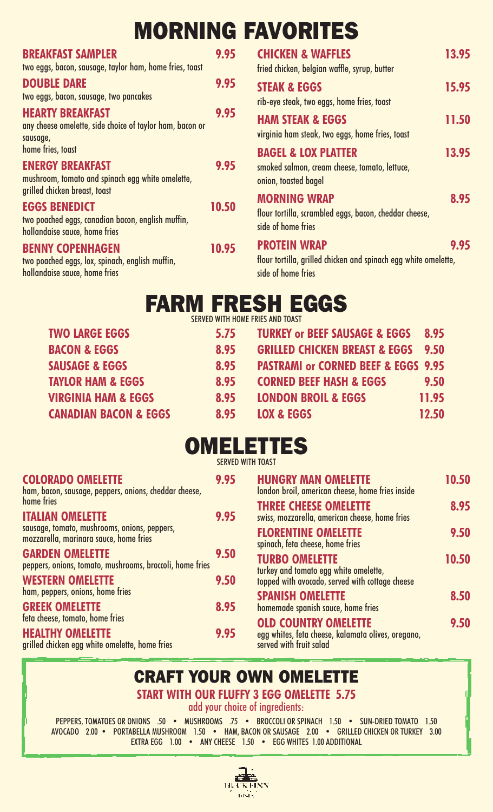# **MORNING FAVORITES**

| <b>BREAKFAST SAMPLER</b><br>two eggs, bacon, sausage, taylor ham, home fries, toast                         | 9.95  | <b>CHICKEN &amp; WAFFI</b><br>fried chicken, belgian wa                    |
|-------------------------------------------------------------------------------------------------------------|-------|----------------------------------------------------------------------------|
| <b>DOUBLE DARE</b><br>two eggs, bacon, sausage, two pancakes                                                | 9.95  | <b>STEAK &amp; EGGS</b><br>rib-eye steak, two eggs, I                      |
| <b>HEARTY BREAKFAST</b><br>any cheese omelette, side choice of taylor ham, bacon or<br>sausage,             | 9.95  | <b>HAM STEAK &amp; EGG</b><br>virginia ham steak, two e                    |
| home fries, toast<br><b>ENERGY BREAKFAST</b>                                                                | 9.95  | <b>BAGEL &amp; LOX PLAT</b><br>smoked salmon, cream ch                     |
| mushroom, tomato and spinach egg white omelette,<br>grilled chicken breast, toast                           |       | onion, toasted bagel<br><b>MORNING WRAP</b>                                |
| <b>EGGS BENEDICT</b><br>two poached eggs, canadian bacon, english muffin,<br>hollandaise sauce, home fries  | 10.50 | flour tortilla, scrambled e<br>side of home fries                          |
| <b>BENNY COPENHAGEN</b><br>two poached eggs, lox, spinach, english muffin,<br>hollandaise sauce, home fries | 10.95 | <b>PROTEIN WRAP</b><br>flour tortilla, grilled chick<br>side of home fries |
|                                                                                                             |       |                                                                            |

| 15                      | <b>CHICKEN &amp; WAFFLES</b>                                                          | 13.95 |
|-------------------------|---------------------------------------------------------------------------------------|-------|
|                         | fried chicken, belgian waffle, syrup, butter                                          |       |
| 15                      | <b>STEAK &amp; EGGS</b>                                                               | 15.95 |
|                         | rib-eye steak, two eggs, home fries, toast                                            |       |
| 15                      | <b>HAM STEAK &amp; EGGS</b>                                                           | 11.50 |
|                         | virginia ham steak, two eggs, home fries, toast                                       |       |
|                         | <b>BAGEL &amp; LOX PLATTER</b>                                                        | 13.95 |
| 15                      | smoked salmon, cream cheese, tomato, lettuce,<br>onion, toasted bagel                 |       |
|                         | <b>MORNING WRAP</b>                                                                   | 8.95  |
| $\overline{\mathbf{0}}$ | flour tortilla, scrambled eggs, bacon, cheddar cheese,<br>side of home fries          |       |
| 15                      | <b>PROTEIN WRAP</b>                                                                   | 9.95  |
|                         | flour tortilla, grilled chicken and spinach egg white omelette,<br>cide of home fries |       |

## **FARM FRESH EGGS**

| SERVED WITH HOME FRIES AND TOAST |      |                                                |       |  |
|----------------------------------|------|------------------------------------------------|-------|--|
| <b>TWO LARGE EGGS</b>            | 5.75 | <b>TURKEY or BEEF SAUSAGE &amp; EGGS</b>       | 8.95  |  |
| <b>BACON &amp; EGGS</b>          | 8.95 | <b>GRILLED CHICKEN BREAST &amp; EGGS</b>       | 9.50  |  |
| <b>SAUSAGE &amp; EGGS</b>        | 8.95 | <b>PASTRAMI or CORNED BEEF &amp; EGGS 9.95</b> |       |  |
| <b>TAYLOR HAM &amp; EGGS</b>     | 8.95 | <b>CORNED BEEF HASH &amp; EGGS</b>             | 9.50  |  |
| <b>VIRGINIA HAM &amp; EGGS</b>   | 8.95 | <b>LONDON BROIL &amp; EGGS</b>                 | 11.95 |  |
| <b>CANADIAN BACON &amp; EGGS</b> | 8.95 | <b>LOX &amp; EGGS</b>                          | 12.50 |  |

## **OMELETTES**

| <b>COLORADO OMELETTE</b><br>ham, bacon, sausage, peppers, onions, cheddar cheese,                            | 9.95 | <b>HUNGRY MAN OMELETTE</b><br>london broil, american cheese, home fries inside                               | 10.50 |
|--------------------------------------------------------------------------------------------------------------|------|--------------------------------------------------------------------------------------------------------------|-------|
| home fries<br><b>ITALIAN OMELETTE</b>                                                                        | 9.95 | <b>THREE CHEESE OMELETTE</b><br>swiss, mozzarella, american cheese, home fries                               | 8.95  |
| sausage, tomato, mushrooms, onions, peppers,<br>mozzarella, marinara sauce, home fries                       |      | <b>FLORENTINE OMELETTE</b><br>spinach, feta cheese, home fries                                               | 9.50  |
| <b>GARDEN OMELETTE</b><br>peppers, onions, tomato, mushrooms, broccoli, home fries                           | 9.50 | <b>TURBO OMELETTE</b><br>turkey and tomato egg white omelette,                                               | 10.50 |
| <b>WESTERN OMELETTE</b><br>ham, peppers, onions, home fries                                                  | 9.50 | topped with avocado, served with cottage cheese<br><b>SPANISH OMELETTE</b>                                   | 8.50  |
| <b>GREEK OMELETTE</b>                                                                                        | 8.95 | homemade spanish sauce, home fries                                                                           |       |
| feta cheese, tomato, home fries<br><b>HEALTHY OMELETTE</b><br>grilled chicken egg white omelette, home fries | 9.95 | <b>OLD COUNTRY OMELETTE</b><br>egg whites, feta cheese, kalamata olives, oregano,<br>served with fruit salad | 9.50  |

### **CRAFT YOUR OWN OMELETTE**

**START WITH OUR FLUFFY 3 EGG OMELETTE 5.75**

add your choice of ingredients:

PEPPERS, TOMATOES OR ONIONS .50 • MUSHROOMS .75 • BROCCOLI OR SPINACH 1.50 • SUN-DRIED TOMATO 1.50 AVOCADO 2.00 • PORTABELLA MUSHROOM 1.50 • HAM, BACON OR SAUSAGE 2.00 • GRILLED CHICKEN OR TURKEY 3.00 EXTRA EGG 1.00 • ANY CHEESE 1.50 • EGG WHITES 1.00 ADDITIONAL

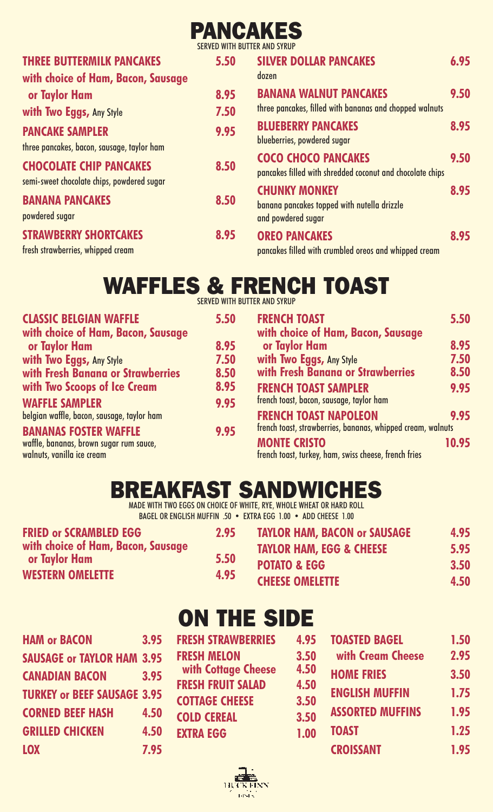### **PANCAKES** SERVED WITH BUTTER AND SYRUP

| <b>THREE BUTTERMILK PANCAKES</b><br>with choice of Ham, Bacon, Sausage              | 5.50         | <b>SILVER DOLLAR PANCAKES</b><br>dozen                                                                                 | 6.95 |
|-------------------------------------------------------------------------------------|--------------|------------------------------------------------------------------------------------------------------------------------|------|
| or Taylor Ham                                                                       | 8.95         | <b>BANANA WALNUT PANCAKES</b><br>three pancakes, filled with bananas and chopped walnuts                               | 9.50 |
| with Two Eggs, Any Style<br><b>PANCAKE SAMPLER</b>                                  | 7.50<br>9.95 | <b>BLUEBERRY PANCAKES</b>                                                                                              | 8.95 |
| three pancakes, bacon, sausage, taylor ham<br><b>CHOCOLATE CHIP PANCAKES</b>        | 8.50         | blueberries, powdered sugar<br><b>COCO CHOCO PANCAKES</b><br>pancakes filled with shredded coconut and chocolate chips | 9.50 |
| semi-sweet chocolate chips, powdered sugar<br><b>BANANA PANCAKES</b>                | 8.50         | <b>CHUNKY MONKEY</b><br>banana pancakes topped with nutella drizzle                                                    | 8.95 |
| powdered sugar<br><b>STRAWBERRY SHORTCAKES</b><br>fresh strawberries, whipped cream | 8.95         | and powdered sugar<br><b>OREO PANCAKES</b><br>pancakes filled with crumbled oreos and whipped cream                    | 8.95 |

# **WAFFLES & FRENCH TOAST**

SERVED WITH BUTTER AND SYRUP

| <b>CLASSIC BELGIAN WAFFLE</b>              | 5.50 | <b>FRENCH TOAST</b>                                         | 5.50  |
|--------------------------------------------|------|-------------------------------------------------------------|-------|
| with choice of Ham, Bacon, Sausage         |      | with choice of Ham, Bacon, Sausage                          |       |
| or Taylor Ham                              | 8.95 | or Taylor Ham                                               | 8.95  |
| with Two Eggs, Any Style                   | 7.50 | with Two Eggs, Any Style                                    | 7.50  |
| with Fresh Banana or Strawberries          | 8.50 | with Fresh Banana or Strawberries                           | 8.50  |
| with Two Scoops of Ice Cream               | 8.95 | <b>FRENCH TOAST SAMPLER</b>                                 | 9.95  |
| <b>WAFFLE SAMPLER</b>                      | 9.95 | french toast, bacon, sausage, taylor ham                    |       |
| belgian waffle, bacon, sausage, taylor ham |      | <b>FRENCH TOAST NAPOLEON</b>                                | 9.95  |
| <b>BANANAS FOSTER WAFFLE</b>               | 9.95 | french toast, strawberries, bananas, whipped cream, walnuts |       |
| waffle, bananas, brown sugar rum sauce,    |      | <b>MONTE CRISTO</b>                                         | 10.95 |
| walnuts, vanilla ice cream                 |      | french toast, turkey, ham, swiss cheese, french fries       |       |

## **BREAKFAST SANDWICHES**

MADE WITH TWO EGGS ON CHOICE OF WHITE, RYE, WHOLE WHEAT OR HARD ROLL BAGEL OR ENGLISH MUFFIN .50 • EXTRA EGG 1.00 • ADD CHEESE 1.00

| <b>FRIED OF SCRAMBLED EGG</b>      | 2.95 | <b>TAYLOR HAM, BACON or SAUSAGE</b> | 4.95 |
|------------------------------------|------|-------------------------------------|------|
| with choice of Ham, Bacon, Sausage |      | <b>TAYLOR HAM, EGG &amp; CHEESE</b> | 5.95 |
| <b>or Taylor Ham</b>               | 5.50 | <b>POTATO &amp; EGG</b>             | 3.50 |
| <b>WESTERN OMELETTE</b>            | 4.95 | <b>CHEESE OMELETTE</b>              | 4.50 |

| <b>HAM or BACON</b>                | 3.95 |
|------------------------------------|------|
| <b>SAUSAGE or TAYLOR HAM 3.95</b>  |      |
| <b>CANADIAN BACON</b>              | 3.95 |
| <b>TURKEY or BEEF SAUSAGE 3.95</b> |      |
| <b>CORNED BEEF HASH</b>            | 4.50 |
| <b>GRILLED CHICKEN</b>             | 4.50 |
| <b>LOX</b>                         | 7.95 |

## **ON THE SIDE**

| <b>FRESH STRAWBERRIES</b> | 4.95 | <b>TOASTED BAGEL</b>    | 1.50 |
|---------------------------|------|-------------------------|------|
| <b>FRESH MELON</b>        | 3.50 | with Cream Cheese       | 2.95 |
| with Cottage Cheese       | 4.50 | <b>HOME FRIES</b>       | 3.50 |
| <b>FRESH FRUIT SALAD</b>  | 4.50 | <b>ENGLISH MUFFIN</b>   | 1.75 |
| <b>COTTAGE CHEESE</b>     | 3.50 |                         |      |
| <b>COLD CEREAL</b>        | 3.50 | <b>ASSORTED MUFFINS</b> | 1.95 |
| <b>EXTRA EGG</b>          | 1.00 | <b>TOAST</b>            | 1.25 |
|                           |      | <b>CROISSANT</b>        | 1.95 |
|                           |      |                         |      |